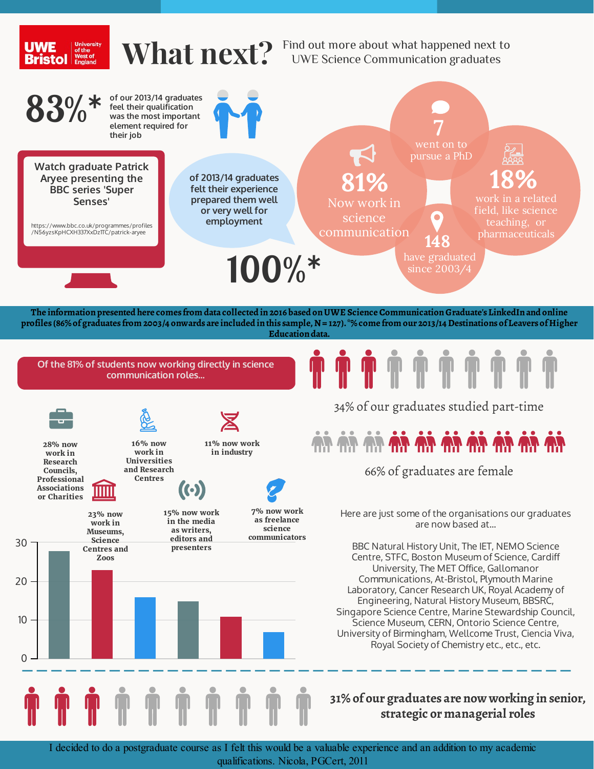

I decided to do a postgraduate course as I felt this would be a valuable experience and an addition to my academic qualifications. Nicola, PGCert, 2011